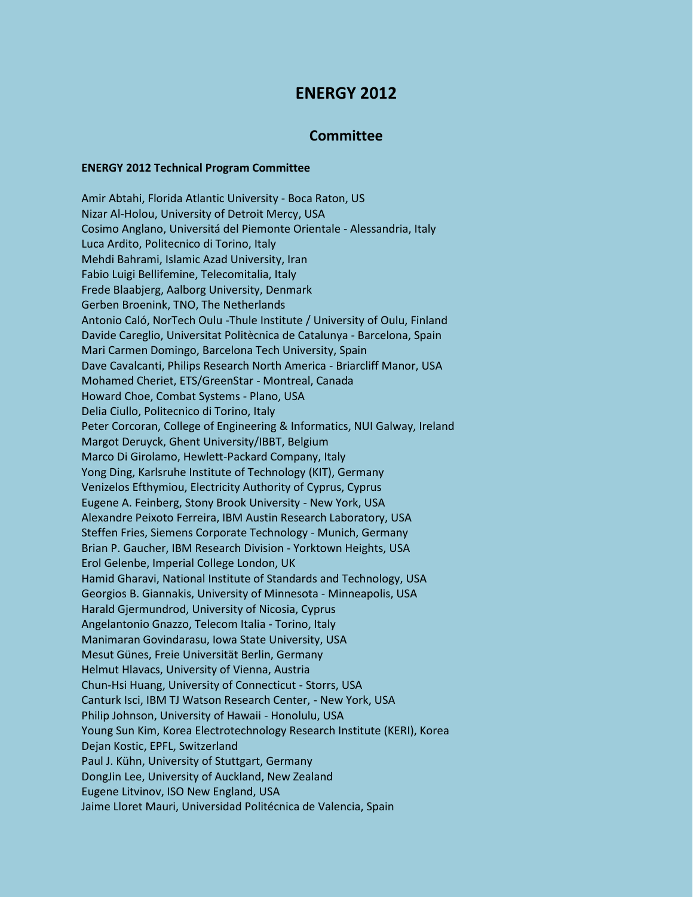## **ENERGY 2012**

## **Committee**

## **ENERGY 2012 Technical Program Committee**

Amir Abtahi, Florida Atlantic University - Boca Raton, US Nizar Al-Holou, University of Detroit Mercy, USA Cosimo Anglano, Universitá del Piemonte Orientale - Alessandria, Italy Luca Ardito, Politecnico di Torino, Italy Mehdi Bahrami, Islamic Azad University, Iran Fabio Luigi Bellifemine, Telecomitalia, Italy Frede Blaabjerg, Aalborg University, Denmark Gerben Broenink, TNO, The Netherlands Antonio Caló, NorTech Oulu -Thule Institute / University of Oulu, Finland Davide Careglio, Universitat Politècnica de Catalunya - Barcelona, Spain Mari Carmen Domingo, Barcelona Tech University, Spain Dave Cavalcanti, Philips Research North America - Briarcliff Manor, USA Mohamed Cheriet, ETS/GreenStar - Montreal, Canada Howard Choe, Combat Systems - Plano, USA Delia Ciullo, Politecnico di Torino, Italy Peter Corcoran, College of Engineering & Informatics, NUI Galway, Ireland Margot Deruyck, Ghent University/IBBT, Belgium Marco Di Girolamo, Hewlett-Packard Company, Italy Yong Ding, Karlsruhe Institute of Technology (KIT), Germany Venizelos Efthymiou, Electricity Authority of Cyprus, Cyprus Eugene A. Feinberg, Stony Brook University - New York, USA Alexandre Peixoto Ferreira, IBM Austin Research Laboratory, USA Steffen Fries, Siemens Corporate Technology - Munich, Germany Brian P. Gaucher, IBM Research Division - Yorktown Heights, USA Erol Gelenbe, Imperial College London, UK Hamid Gharavi, National Institute of Standards and Technology, USA Georgios B. Giannakis, University of Minnesota - Minneapolis, USA Harald Gjermundrod, University of Nicosia, Cyprus Angelantonio Gnazzo, Telecom Italia - Torino, Italy Manimaran Govindarasu, Iowa State University, USA Mesut Günes, Freie Universität Berlin, Germany Helmut Hlavacs, University of Vienna, Austria Chun-Hsi Huang, University of Connecticut - Storrs, USA Canturk Isci, IBM TJ Watson Research Center, - New York, USA Philip Johnson, University of Hawaii - Honolulu, USA Young Sun Kim, Korea Electrotechnology Research Institute (KERI), Korea Dejan Kostic, EPFL, Switzerland Paul J. Kühn, University of Stuttgart, Germany DongJin Lee, University of Auckland, New Zealand Eugene Litvinov, ISO New England, USA Jaime Lloret Mauri, Universidad Politécnica de Valencia, Spain